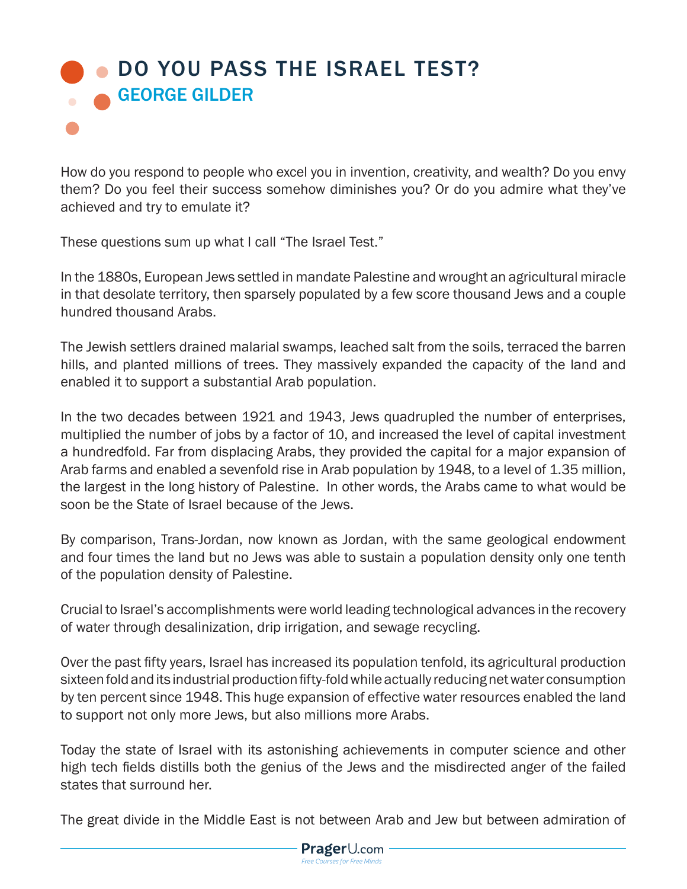## **DO YOU PASS THE ISRAEL TEST?** GEORGE GILDER

How do you respond to people who excel you in invention, creativity, and wealth? Do you envy them? Do you feel their success somehow diminishes you? Or do you admire what they've achieved and try to emulate it?

These questions sum up what I call "The Israel Test."

In the 1880s, European Jews settled in mandate Palestine and wrought an agricultural miracle in that desolate territory, then sparsely populated by a few score thousand Jews and a couple hundred thousand Arabs.

The Jewish settlers drained malarial swamps, leached salt from the soils, terraced the barren hills, and planted millions of trees. They massively expanded the capacity of the land and enabled it to support a substantial Arab population.

In the two decades between 1921 and 1943, Jews quadrupled the number of enterprises, multiplied the number of jobs by a factor of 10, and increased the level of capital investment a hundredfold. Far from displacing Arabs, they provided the capital for a major expansion of Arab farms and enabled a sevenfold rise in Arab population by 1948, to a level of 1.35 million, the largest in the long history of Palestine. In other words, the Arabs came to what would be soon be the State of Israel because of the Jews.

By comparison, Trans-Jordan, now known as Jordan, with the same geological endowment and four times the land but no Jews was able to sustain a population density only one tenth of the population density of Palestine.

Crucial to Israel's accomplishments were world leading technological advances in the recovery of water through desalinization, drip irrigation, and sewage recycling.

Over the past fifty years, Israel has increased its population tenfold, its agricultural production sixteen fold and its industrial production fifty-fold while actually reducing net water consumption by ten percent since 1948. This huge expansion of effective water resources enabled the land to support not only more Jews, but also millions more Arabs.

Today the state of Israel with its astonishing achievements in computer science and other high tech fields distills both the genius of the Jews and the misdirected anger of the failed states that surround her.

The great divide in the Middle East is not between Arab and Jew but between admiration of